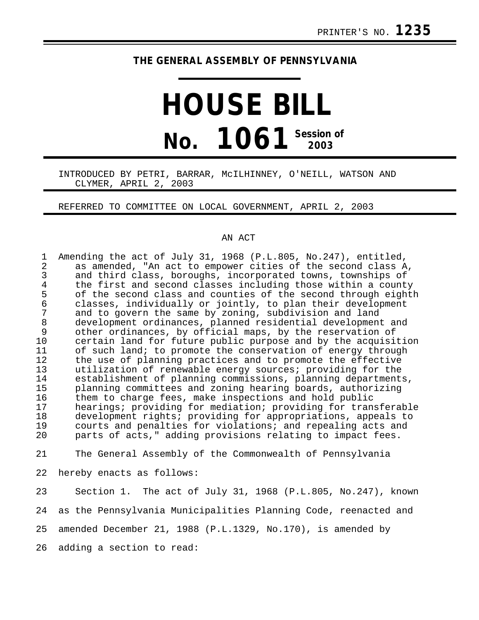## **THE GENERAL ASSEMBLY OF PENNSYLVANIA**

## **HOUSE BILL No. 1061 Session of 2003**

## INTRODUCED BY PETRI, BARRAR, McILHINNEY, O'NEILL, WATSON AND CLYMER, APRIL 2, 2003

REFERRED TO COMMITTEE ON LOCAL GOVERNMENT, APRIL 2, 2003

## AN ACT

| $\mathbf 1$<br>$\overline{a}$<br>$\mathfrak{Z}$<br>$\overline{4}$<br>5<br>$\epsilon$<br>$\overline{7}$<br>$\,8\,$<br>$\mathsf 9$<br>10 | Amending the act of July 31, 1968 (P.L.805, No.247), entitled,<br>as amended, "An act to empower cities of the second class A,<br>and third class, boroughs, incorporated towns, townships of<br>the first and second classes including those within a county<br>of the second class and counties of the second through eighth<br>classes, individually or jointly, to plan their development<br>and to govern the same by zoning, subdivision and land<br>development ordinances, planned residential development and<br>other ordinances, by official maps, by the reservation of<br>certain land for future public purpose and by the acquisition |
|----------------------------------------------------------------------------------------------------------------------------------------|------------------------------------------------------------------------------------------------------------------------------------------------------------------------------------------------------------------------------------------------------------------------------------------------------------------------------------------------------------------------------------------------------------------------------------------------------------------------------------------------------------------------------------------------------------------------------------------------------------------------------------------------------|
| 11<br>12<br>13<br>14<br>15<br>16<br>17<br>18                                                                                           | of such land; to promote the conservation of energy through<br>the use of planning practices and to promote the effective<br>utilization of renewable energy sources; providing for the<br>establishment of planning commissions, planning departments,<br>planning committees and zoning hearing boards, authorizing<br>them to charge fees, make inspections and hold public<br>hearings; providing for mediation; providing for transferable<br>development rights; providing for appropriations, appeals to                                                                                                                                      |
| 19<br>20                                                                                                                               | courts and penalties for violations; and repealing acts and<br>parts of acts," adding provisions relating to impact fees.                                                                                                                                                                                                                                                                                                                                                                                                                                                                                                                            |
| 21                                                                                                                                     | The General Assembly of the Commonwealth of Pennsylvania                                                                                                                                                                                                                                                                                                                                                                                                                                                                                                                                                                                             |
| 22                                                                                                                                     | hereby enacts as follows:                                                                                                                                                                                                                                                                                                                                                                                                                                                                                                                                                                                                                            |
| 23                                                                                                                                     | Section 1. The act of July 31, 1968 (P.L.805, No.247), known                                                                                                                                                                                                                                                                                                                                                                                                                                                                                                                                                                                         |
| 24                                                                                                                                     | as the Pennsylvania Municipalities Planning Code, reenacted and                                                                                                                                                                                                                                                                                                                                                                                                                                                                                                                                                                                      |
| 25                                                                                                                                     | amended December 21, 1988 (P.L.1329, No.170), is amended by                                                                                                                                                                                                                                                                                                                                                                                                                                                                                                                                                                                          |
| 26                                                                                                                                     | adding a section to read:                                                                                                                                                                                                                                                                                                                                                                                                                                                                                                                                                                                                                            |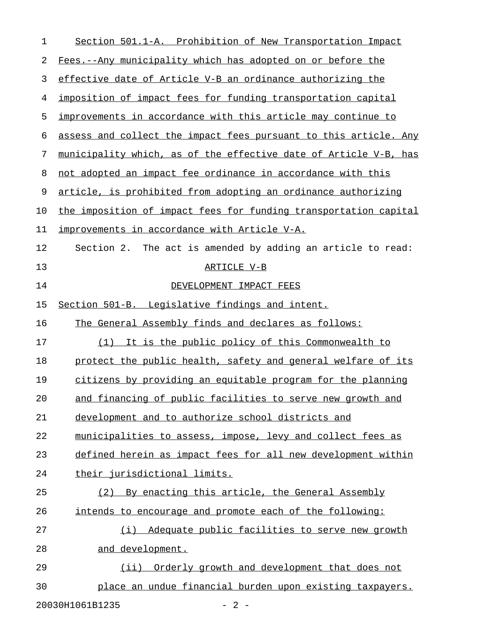| 1  | Section 501.1-A. Prohibition of New Transportation Impact        |
|----|------------------------------------------------------------------|
| 2  | Fees.--Any municipality which has adopted on or before the       |
| 3  | effective date of Article V-B an ordinance authorizing the       |
| 4  | imposition of impact fees for funding transportation capital     |
| 5  | improvements in accordance with this article may continue to     |
| 6  | assess and collect the impact fees pursuant to this article. Any |
| 7  | municipality which, as of the effective date of Article V-B, has |
| 8  | not adopted an impact fee ordinance in accordance with this      |
| 9  | article, is prohibited from adopting an ordinance authorizing    |
| 10 | the imposition of impact fees for funding transportation capital |
| 11 | <u>improvements in accordance with Article V-A.</u>              |
| 12 | Section 2. The act is amended by adding an article to read:      |
| 13 | ARTICLE V-B                                                      |
| 14 | DEVELOPMENT IMPACT FEES                                          |
| 15 | Section 501-B. Legislative findings and intent.                  |
| 16 | The General Assembly finds and declares as follows:              |
| 17 | (1) It is the public policy of this Commonwealth to              |
| 18 | protect the public health, safety and general welfare of its     |
| 19 | citizens by providing an equitable program for the planning      |
| 20 | and financing of public facilities to serve new growth and       |
| 21 | development and to authorize school districts and                |
| 22 | municipalities to assess, impose, levy and collect fees as       |
| 23 | defined herein as impact fees for all new development within     |
| 24 | their jurisdictional limits.                                     |
| 25 | By enacting this article, the General Assembly<br>(2)            |
| 26 | intends to encourage and promote each of the following:          |
| 27 | Adequate public facilities to serve new growth<br>(i)            |
| 28 | and development.                                                 |
| 29 | Orderly growth and development that does not<br>$(i$ ii)         |
| 30 | place an undue financial burden upon existing taxpayers.         |

20030H1061B1235 - 2 -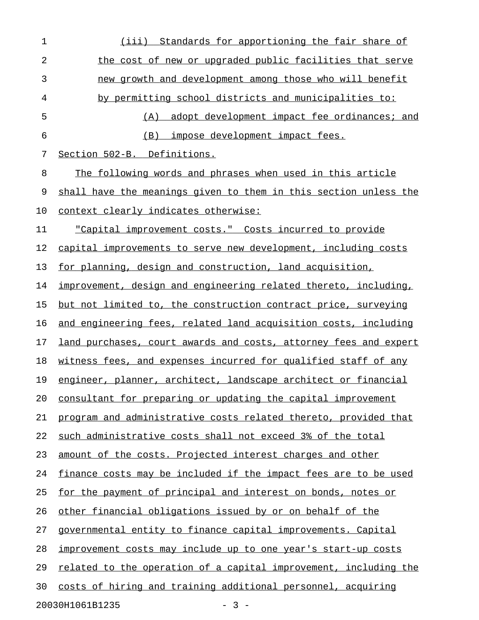| 1  | (iii) Standards for apportioning the fair share of               |
|----|------------------------------------------------------------------|
| 2  | the cost of new or upgraded public facilities that serve         |
| 3  | new growth and development among those who will benefit          |
| 4  | by permitting school districts and municipalities to:            |
| 5  | <u>adopt development impact fee ordinances; and</u><br>(A)       |
| 6  | (B) impose development impact fees.                              |
| 7  | Section 502-B. Definitions.                                      |
| 8  | The following words and phrases when used in this article        |
| 9  | shall have the meanings given to them in this section unless the |
| 10 | context clearly indicates otherwise:                             |
| 11 | "Capital improvement costs." Costs incurred to provide           |
| 12 | capital improvements to serve new development, including costs   |
| 13 | for planning, design and construction, land acquisition,         |
| 14 | improvement, design and engineering related thereto, including,  |
| 15 | but not limited to, the construction contract price, surveying   |
| 16 | and engineering fees, related land acquisition costs, including  |
| 17 | land purchases, court awards and costs, attorney fees and expert |
| 18 | witness fees, and expenses incurred for qualified staff of any   |
| 19 | engineer, planner, architect, landscape architect or financial   |
| 20 | consultant for preparing or updating the capital improvement     |
| 21 | program and administrative costs related thereto, provided that  |
| 22 | such administrative costs shall not exceed 3% of the total       |
| 23 | amount of the costs. Projected interest charges and other        |
| 24 | finance costs may be included if the impact fees are to be used  |
| 25 | for the payment of principal and interest on bonds, notes or     |
| 26 | other financial obligations issued by or on behalf of the        |
| 27 | governmental entity to finance capital improvements. Capital     |
| 28 | improvement costs may include up to one year's start-up costs    |
| 29 | related to the operation of a capital improvement, including the |
| 30 | costs of hiring and training additional personnel, acquiring     |
|    | 20030H1061B1235<br>$-3 -$                                        |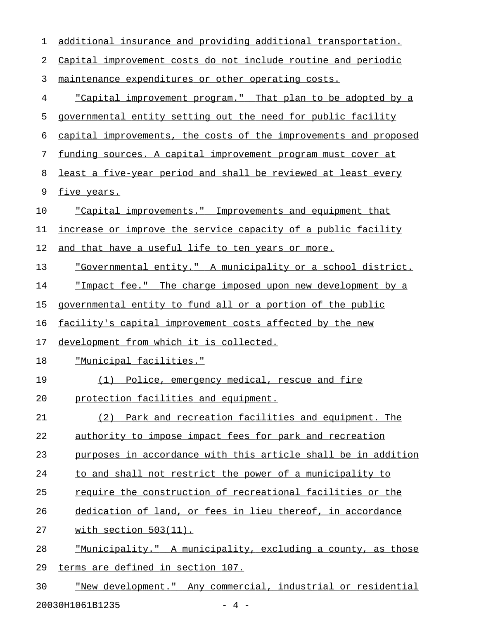| $\mathbf 1$ | additional insurance and providing additional transportation.      |
|-------------|--------------------------------------------------------------------|
| 2           | Capital improvement costs do not include routine and periodic      |
| 3           | maintenance expenditures or other operating costs.                 |
| 4           | <u>"Capital improvement program." That plan to be adopted by a</u> |
| 5           | governmental entity setting out the need for public facility       |
| 6           | capital improvements, the costs of the improvements and proposed   |
| 7           | funding sources. A capital improvement program must cover at       |
| 8           | least a five-year period and shall be reviewed at least every      |
| 9           | five years.                                                        |
| 10          | <u>"Capital improvements." Improvements and equipment that</u>     |
| 11          | increase or improve the service capacity of a public facility      |
| 12          | and that have a useful life to ten years or more.                  |
| 13          | "Governmental entity." A municipality or a school district.        |
| 14          | <u>"Impact fee." The charge imposed upon new development by a</u>  |
| 15          | governmental entity to fund all or a portion of the public         |
| 16          | facility's capital improvement costs affected by the new           |
| 17          | development from which it is collected.                            |
| 18          | <u> "Municipal facilities."</u>                                    |
| 19          | (1) Police, emergency medical, rescue and fire                     |
| 20          | protection facilities and equipment.                               |
| 21          | (2) Park and recreation facilities and equipment. The              |
| 22          | authority to impose impact fees for park and recreation            |
| 23          | purposes in accordance with this article shall be in addition      |
| 24          | to and shall not restrict the power of a municipality to           |
| 25          | require the construction of recreational facilities or the         |
| 26          | dedication of land, or fees in lieu thereof, in accordance         |
| 27          | with section 503(11).                                              |
| 28          | "Municipality." A municipality, excluding a county, as those       |
| 29          | terms are defined in section 107.                                  |
| 30          | "New development." Any commercial, industrial or residential       |

20030H1061B1235 - 4 -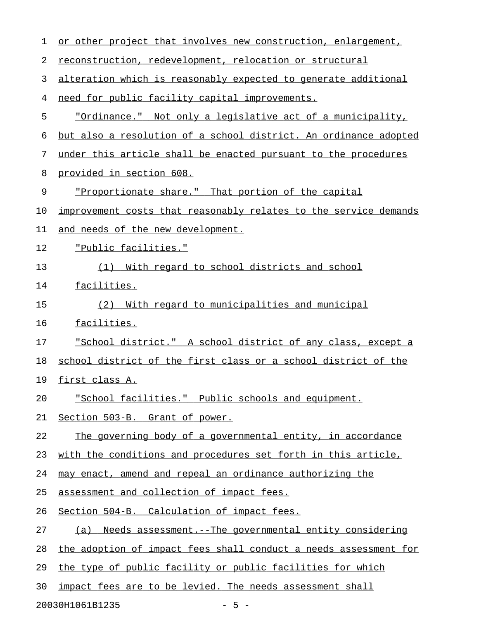| 1  | or other project that involves new construction, enlargement,    |
|----|------------------------------------------------------------------|
| 2  | reconstruction, redevelopment, relocation or structural          |
| 3  | alteration which is reasonably expected to generate additional   |
| 4  | need for public facility capital improvements.                   |
| 5  | "Ordinance." Not only a legislative act of a municipality,       |
| 6  | but also a resolution of a school district. An ordinance adopted |
| 7  | under this article shall be enacted pursuant to the procedures   |
| 8  | provided in section 608.                                         |
| 9  | "Proportionate share." That portion of the capital               |
| 10 | improvement costs that reasonably relates to the service demands |
| 11 | and needs of the new development.                                |
| 12 | "Public facilities."                                             |
| 13 | <u>With regard to school districts and school</u><br>(1)         |
| 14 | facilities.                                                      |
| 15 | With regard to municipalities and municipal<br>(2)               |
| 16 | facilities.                                                      |
| 17 | "School district." A school district of any class, except a      |
| 18 | school district of the first class or a school district of the   |
| 19 | first class A.                                                   |
| 20 | "School facilities." Public schools and equipment.               |
| 21 | Section 503-B. Grant of power.                                   |
| 22 | The governing body of a governmental entity, in accordance       |
| 23 | with the conditions and procedures set forth in this article,    |
| 24 | may enact, amend and repeal an ordinance authorizing the         |
| 25 | assessment and collection of impact fees.                        |
| 26 | Section 504-B. Calculation of impact fees.                       |
| 27 | Needs assessment. -- The governmental entity considering<br>(a)  |
| 28 | the adoption of impact fees shall conduct a needs assessment for |
| 29 | the type of public facility or public facilities for which       |
| 30 | impact fees are to be levied. The needs assessment shall         |
|    |                                                                  |

20030H1061B1235 - 5 -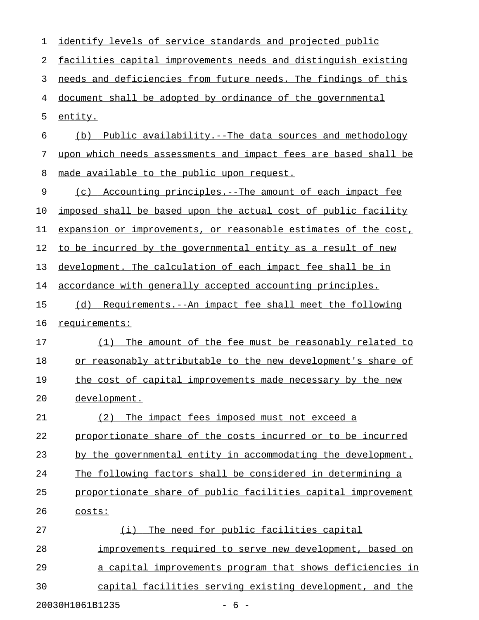| 1  | identify levels of service standards and projected public       |
|----|-----------------------------------------------------------------|
| 2  | facilities capital improvements needs and distinguish existing  |
| 3  | needs and deficiencies from future needs. The findings of this  |
| 4  | document shall be adopted by ordinance of the governmental      |
| 5  | entity.                                                         |
| 6  | (b)<br>Public availability.--The data sources and methodology   |
| 7  | upon which needs assessments and impact fees are based shall be |
| 8  | made available to the public upon request.                      |
| 9  | (c) Accounting principles.--The amount of each impact fee       |
| 10 | imposed shall be based upon the actual cost of public facility  |
| 11 | expansion or improvements, or reasonable estimates of the cost, |
| 12 | to be incurred by the governmental entity as a result of new    |
| 13 | development. The calculation of each impact fee shall be in     |
| 14 | accordance with generally accepted accounting principles.       |
| 15 | Requirements.--An impact fee shall meet the following<br>(d)    |
| 16 | requirements:                                                   |
| 17 | The amount of the fee must be reasonably related to<br>(1)      |
| 18 | or reasonably attributable to the new development's share of    |
| 19 | the cost of capital improvements made necessary by the new      |
| 20 | development.                                                    |
| 21 | The impact fees imposed must not exceed a<br>(2)                |
| 22 | proportionate share of the costs incurred or to be incurred     |
| 23 | by the governmental entity in accommodating the development.    |
| 24 | The following factors shall be considered in determining a      |
| 25 | proportionate share of public facilities capital improvement    |
| 26 | costs:                                                          |
| 27 | (i) The need for public facilities capital                      |
| 28 | improvements required to serve new development, based on        |
| 29 | a capital improvements program that shows deficiencies in       |
| 30 | capital facilities serving existing development, and the        |
|    | 20030H1061B1235<br>$-6-$                                        |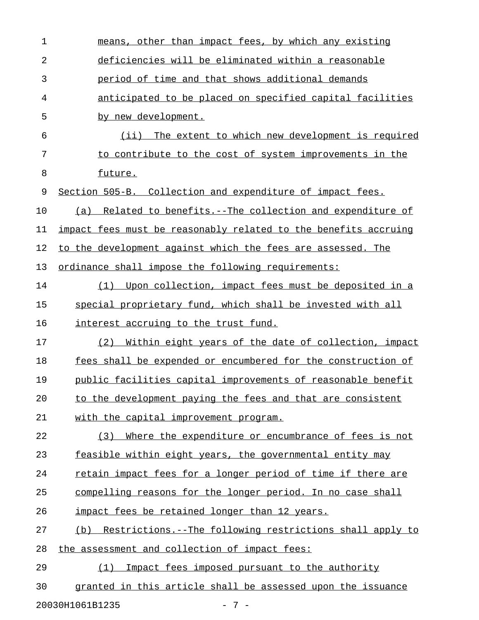| other than impact fees, by which any existing<br>means,         |
|-----------------------------------------------------------------|
| deficiencies will be eliminated within a reasonable             |
| period of time and that shows additional demands                |
| anticipated to be placed on specified capital facilities        |
| by new development.                                             |
| (iii)<br>The extent to which new development is required        |
| to contribute to the cost of system improvements in the         |
| future.                                                         |
| Section 505-B. Collection and expenditure of impact fees.       |
| Related to benefits.--The collection and expenditure of<br>(a)  |
| impact fees must be reasonably related to the benefits accruing |
| to the development against which the fees are assessed. The     |
| ordinance shall impose the following requirements:              |
| Upon collection, impact fees must be deposited in a<br>(1)      |
| special proprietary fund, which shall be invested with all      |
| interest accruing to the trust fund.                            |
| Within eight years of the date of collection, impact<br>(2)     |
| fees shall be expended or encumbered for the construction of    |
| public facilities capital improvements of reasonable benefit    |
| to the development paying the fees and that are consistent      |
| with the capital improvement program.                           |
| Where the expenditure or encumbrance of fees is not<br>(3)      |
| feasible within eight years, the governmental entity may        |
| retain impact fees for a longer period of time if there are     |
| compelling reasons for the longer period. In no case shall      |
| impact fees be retained longer than 12 years.                   |
| (b) Restrictions.--The following restrictions shall apply to    |
| the assessment and collection of impact fees:                   |
| Impact fees imposed pursuant to the authority<br>(1)            |
| granted in this article shall be assessed upon the issuance     |
|                                                                 |

20030H1061B1235 - 7 -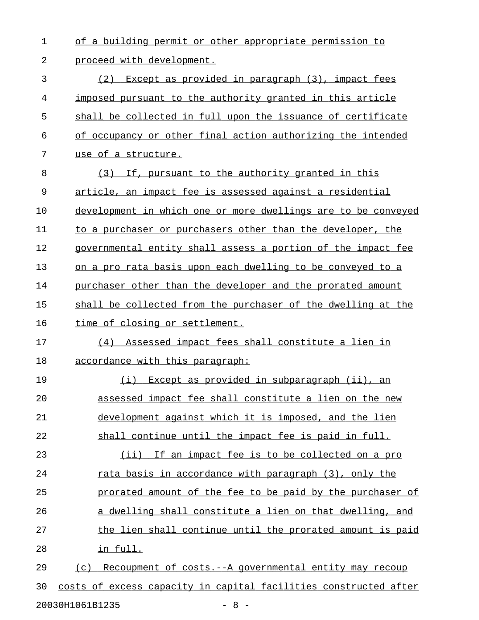1 of a building permit or other appropriate permission to 2 proceed with development.

3 (2) Except as provided in paragraph (3), impact fees 4 imposed pursuant to the authority granted in this article 5 shall be collected in full upon the issuance of certificate 6 of occupancy or other final action authorizing the intended 7 use of a structure.

8 (3) If, pursuant to the authority granted in this 9 article, an impact fee is assessed against a residential 10 development in which one or more dwellings are to be conveyed 11 to a purchaser or purchasers other than the developer, the 12 governmental entity shall assess a portion of the impact fee 13 on a pro rata basis upon each dwelling to be conveyed to a 14 purchaser other than the developer and the prorated amount 15 shall be collected from the purchaser of the dwelling at the 16 time of closing or settlement. 17 (4) Assessed impact fees shall constitute a lien in 18 accordance with this paragraph: 19 (i) Except as provided in subparagraph (ii), an 20 assessed impact fee shall constitute a lien on the new 21 development against which it is imposed, and the lien 22 shall continue until the impact fee is paid in full.

23 (ii) If an impact fee is to be collected on a pro 24 rata basis in accordance with paragraph (3), only the 25 prorated amount of the fee to be paid by the purchaser of 26 a dwelling shall constitute a lien on that dwelling, and 27 the lien shall continue until the prorated amount is paid 28 in full.

29 (c) Recoupment of costs.--A governmental entity may recoup 30 costs of excess capacity in capital facilities constructed after 20030H1061B1235 - 8 -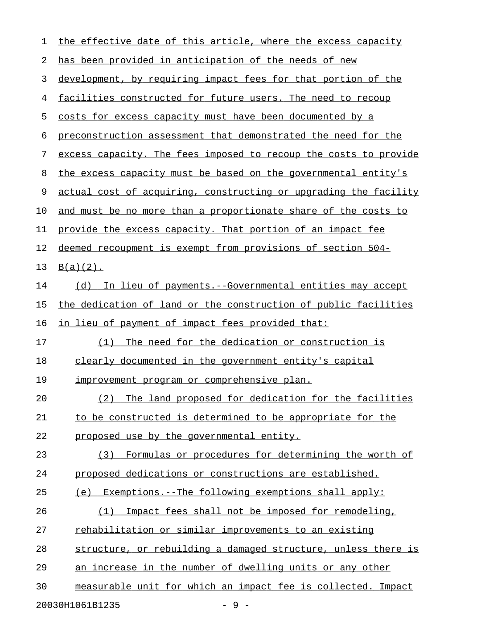| 1  | the effective date of this article, where the excess capacity    |
|----|------------------------------------------------------------------|
| 2  | has been provided in anticipation of the needs of new            |
| 3  | development, by requiring impact fees for that portion of the    |
| 4  | facilities constructed for future users. The need to recoup      |
| 5  | costs for excess capacity must have been documented by a         |
| 6  | preconstruction assessment that demonstrated the need for the    |
| 7  | excess capacity. The fees imposed to recoup the costs to provide |
| 8  | the excess capacity must be based on the governmental entity's   |
| 9  | actual cost of acquiring, constructing or upgrading the facility |
| 10 | and must be no more than a proportionate share of the costs to   |
| 11 | provide the excess capacity. That portion of an impact fee       |
| 12 | deemed recoupment is exempt from provisions of section 504-      |
| 13 | $B(a)(2)$ .                                                      |
| 14 | (d) In lieu of payments.--Governmental entities may accept       |
| 15 | the dedication of land or the construction of public facilities  |
| 16 | in lieu of payment of impact fees provided that:                 |
| 17 | The need for the dedication or construction is<br>(1)            |
| 18 | clearly documented in the government entity's capital            |
| 19 | <u>improvement program or comprehensive plan.</u>                |
| 20 | The land proposed for dedication for the facilities<br>(2)       |
| 21 | to be constructed is determined to be appropriate for the        |
| 22 | proposed use by the governmental entity.                         |
| 23 | Formulas or procedures for determining the worth of<br>(3)       |
| 24 | proposed dedications or constructions are established.           |
| 25 | (e) Exemptions.--The following exemptions shall apply:           |
| 26 | Impact fees shall not be imposed for remodeling,<br>(1)          |
| 27 | rehabilitation or similar improvements to an existing            |
| 28 | structure, or rebuilding a damaged structure, unless there is    |
| 29 | an increase in the number of dwelling units or any other         |
| 30 | measurable unit for which an impact fee is collected. Impact     |
|    | $-9-$<br>20030H1061B1235                                         |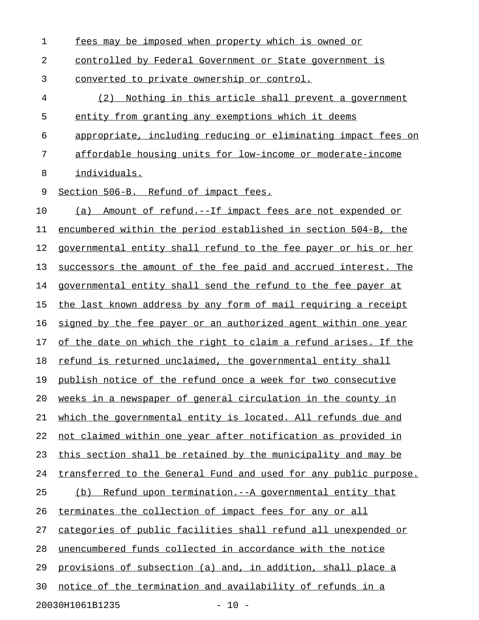| 1  | fees may be imposed when property which is owned or              |
|----|------------------------------------------------------------------|
| 2  | controlled by Federal Government or State government is          |
| 3  | converted to private ownership or control.                       |
| 4  | Nothing in this article shall prevent a government<br>(2)        |
| 5  | entity from granting any exemptions which it deems               |
| 6  | appropriate, including reducing or eliminating impact fees on    |
| 7  | affordable housing units for low-income or moderate-income       |
| 8  | individuals.                                                     |
| 9  | Section 506-B. Refund of impact fees.                            |
| 10 | Amount of refund.--If impact fees are not expended or<br>(a)     |
| 11 | encumbered within the period established in section 504-B, the   |
| 12 | governmental entity shall refund to the fee payer or his or her  |
| 13 | successors the amount of the fee paid and accrued interest. The  |
| 14 | governmental entity shall send the refund to the fee payer at    |
| 15 | the last known address by any form of mail requiring a receipt   |
| 16 | signed by the fee payer or an authorized agent within one year   |
| 17 | of the date on which the right to claim a refund arises. If the  |
| 18 | refund is returned unclaimed, the governmental entity shall      |
| 19 | publish notice of the refund once a week for two consecutive     |
| 20 | weeks in a newspaper of general circulation in the county in     |
| 21 | which the governmental entity is located. All refunds due and    |
| 22 | not claimed within one year after notification as provided in    |
| 23 | this section shall be retained by the municipality and may be    |
| 24 | transferred to the General Fund and used for any public purpose. |
| 25 | (b) Refund upon termination.--A governmental entity that         |
| 26 | terminates the collection of impact fees for any or all          |
| 27 | categories of public facilities shall refund all unexpended or   |
| 28 | unencumbered funds collected in accordance with the notice       |
| 29 | provisions of subsection (a) and, in addition, shall place a     |
| 30 | notice of the termination and availability of refunds in a       |
|    | 20030H1061B1235<br>$-10 -$                                       |